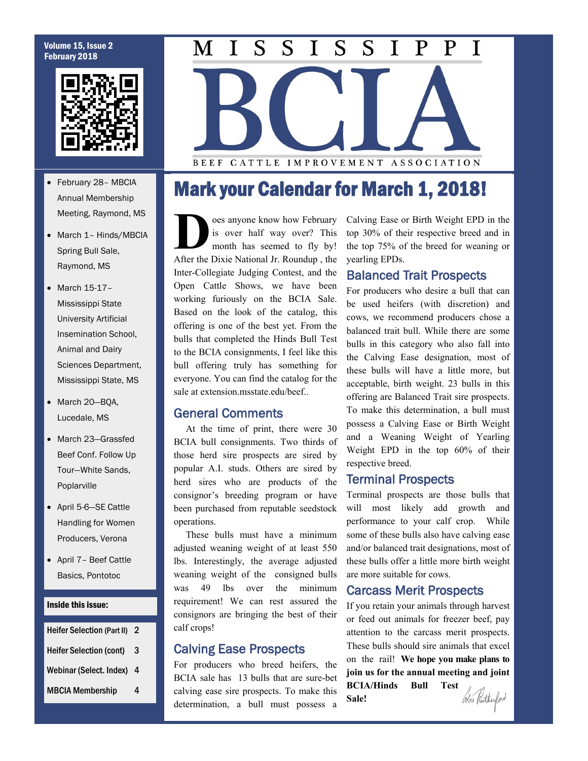### Volume 15, Issue 2 February 2018



- February 28– MBCIA Annual Membership Meeting, Raymond, MS
- March 1- Hinds/MBCIA Spring Bull Sale, Raymond, MS
- March 15-17-Mississippi State University Artificial Insemination School, Animal and Dairy Sciences Department, Mississippi State, MS
- March 20-BQA, Lucedale, MS
- March 23-Grassfed Beef Conf. Follow Up Tour—White Sands, Poplarville
- April 5-6—SE Cattle Handling for Women Producers, Verona
- April 7– Beef Cattle Basics, Pontotoc

#### Inside this issue:

| <b>Heifer Selection (Part II)</b> | 2 |
|-----------------------------------|---|
| <b>Heifer Selection (cont)</b>    | 3 |
| Webinar (Select. Index)           | 4 |
| <b>MBCIA Membership</b>           | 4 |

#### $\overline{S}$  $\overline{S}$  $\overline{S}$  $S_{\cdot}$ P M I  $\mathbf{I}$  $\mathbf{I}$ P T

BEEF CATTLE IMPROVEMENT ASSOCIATION

## Mark your Calendar for March 1, 2018!

**D** After the Dixie National Jr. Roundup , the oes anyone know how February is over half way over? This month has seemed to fly by! Inter-Collegiate Judging Contest, and the Open Cattle Shows, we have been working furiously on the BCIA Sale. Based on the look of the catalog, this offering is one of the best yet. From the bulls that completed the Hinds Bull Test to the BCIA consignments, I feel like this bull offering truly has something for everyone. You can find the catalog for the sale at extension.msstate.edu/beef..

### General Comments

 At the time of print, there were 30 BCIA bull consignments. Two thirds of those herd sire prospects are sired by popular A.I. studs. Others are sired by herd sires who are products of the consignor's breeding program or have been purchased from reputable seedstock operations.

 These bulls must have a minimum adjusted weaning weight of at least 550 lbs. Interestingly, the average adjusted weaning weight of the consigned bulls was 49 lbs over the minimum requirement! We can rest assured the consignors are bringing the best of their calf crops!

### Calving Ease Prospects

For producers who breed heifers, the BCIA sale has 13 bulls that are sure-bet calving ease sire prospects. To make this determination, a bull must possess a Calving Ease or Birth Weight EPD in the top 30% of their respective breed and in the top 75% of the breed for weaning or yearling EPDs.

### Balanced Trait Prospects

For producers who desire a bull that can be used heifers (with discretion) and cows, we recommend producers chose a balanced trait bull. While there are some bulls in this category who also fall into the Calving Ease designation, most of these bulls will have a little more, but acceptable, birth weight. 23 bulls in this offering are Balanced Trait sire prospects. To make this determination, a bull must possess a Calving Ease or Birth Weight and a Weaning Weight of Yearling Weight EPD in the top 60% of their respective breed.

### Terminal Prospects

Terminal prospects are those bulls that will most likely add growth and performance to your calf crop. While some of these bulls also have calving ease and/or balanced trait designations, most of these bulls offer a little more birth weight are more suitable for cows.

### Carcass Merit Prospects

If you retain your animals through harvest or feed out animals for freezer beef, pay attention to the carcass merit prospects. These bulls should sire animals that excel on the rail! **We hope you make plans to join us for the annual meeting and joint BCIA/Hinds Bull Test**  Cobie Rutheylord **Sale!**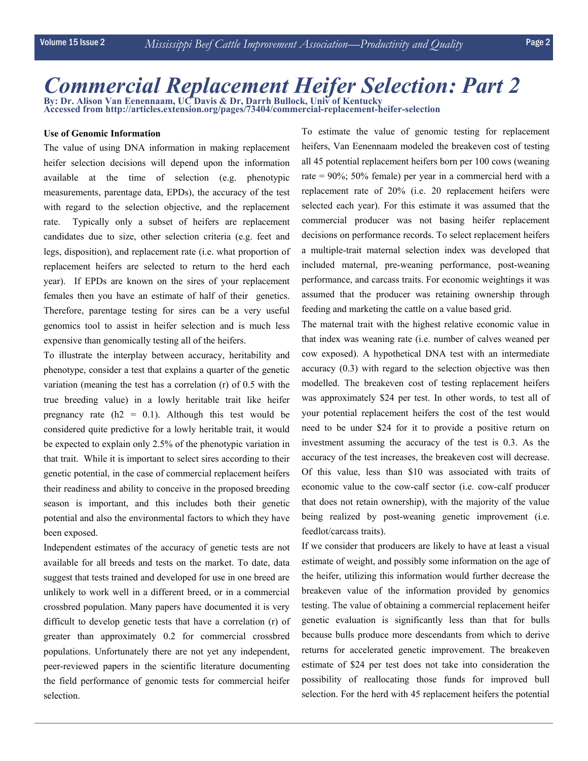# *Commercial Replacement Heifer Selection: Part 2*

**By: Dr. Alison Van Eenennaam, UC Davis & Dr, Darrh Bullock, Univ of Kentucky Accessed from http://articles.extension.org/pages/73404/commercial-replacement-heifer-selection**

### **Use of Genomic Information**

The value of using DNA information in making replacement heifer selection decisions will depend upon the information available at the time of selection (e.g. phenotypic measurements, parentage data, EPDs), the accuracy of the test with regard to the selection objective, and the replacement rate. Typically only a subset of heifers are replacement candidates due to size, other selection criteria (e.g. feet and legs, disposition), and replacement rate (i.e. what proportion of replacement heifers are selected to return to the herd each year). If EPDs are known on the sires of your replacement females then you have an estimate of half of their genetics. Therefore, parentage testing for sires can be a very useful genomics tool to assist in heifer selection and is much less expensive than genomically testing all of the heifers.

To illustrate the interplay between accuracy, heritability and phenotype, consider a test that explains a quarter of the genetic variation (meaning the test has a correlation (r) of 0.5 with the true breeding value) in a lowly heritable trait like heifer pregnancy rate  $(h2 = 0.1)$ . Although this test would be considered quite predictive for a lowly heritable trait, it would be expected to explain only 2.5% of the phenotypic variation in that trait. While it is important to select sires according to their genetic potential, in the case of commercial replacement heifers their readiness and ability to conceive in the proposed breeding season is important, and this includes both their genetic potential and also the environmental factors to which they have been exposed.

Independent estimates of the accuracy of genetic tests are not available for all breeds and tests on the market. To date, data suggest that tests trained and developed for use in one breed are unlikely to work well in a different breed, or in a commercial crossbred population. Many papers have documented it is very difficult to develop genetic tests that have a correlation (r) of greater than approximately 0.2 for commercial crossbred populations. Unfortunately there are not yet any independent, peer-reviewed papers in the scientific literature documenting the field performance of genomic tests for commercial heifer selection.

To estimate the value of genomic testing for replacement heifers, Van Eenennaam modeled the breakeven cost of testing all 45 potential replacement heifers born per 100 cows (weaning rate = 90%; 50% female) per year in a commercial herd with a replacement rate of 20% (i.e. 20 replacement heifers were selected each year). For this estimate it was assumed that the commercial producer was not basing heifer replacement decisions on performance records. To select replacement heifers a multiple-trait maternal selection index was developed that included maternal, pre-weaning performance, post-weaning performance, and carcass traits. For economic weightings it was assumed that the producer was retaining ownership through feeding and marketing the cattle on a value based grid.

The maternal trait with the highest relative economic value in that index was weaning rate (i.e. number of calves weaned per cow exposed). A hypothetical DNA test with an intermediate accuracy (0.3) with regard to the selection objective was then modelled. The breakeven cost of testing replacement heifers was approximately \$24 per test. In other words, to test all of your potential replacement heifers the cost of the test would need to be under \$24 for it to provide a positive return on investment assuming the accuracy of the test is 0.3. As the accuracy of the test increases, the breakeven cost will decrease. Of this value, less than \$10 was associated with traits of economic value to the cow-calf sector (i.e. cow-calf producer that does not retain ownership), with the majority of the value being realized by post-weaning genetic improvement (i.e. feedlot/carcass traits).

If we consider that producers are likely to have at least a visual estimate of weight, and possibly some information on the age of the heifer, utilizing this information would further decrease the breakeven value of the information provided by genomics testing. The value of obtaining a commercial replacement heifer genetic evaluation is significantly less than that for bulls because bulls produce more descendants from which to derive returns for accelerated genetic improvement. The breakeven estimate of \$24 per test does not take into consideration the possibility of reallocating those funds for improved bull selection. For the herd with 45 replacement heifers the potential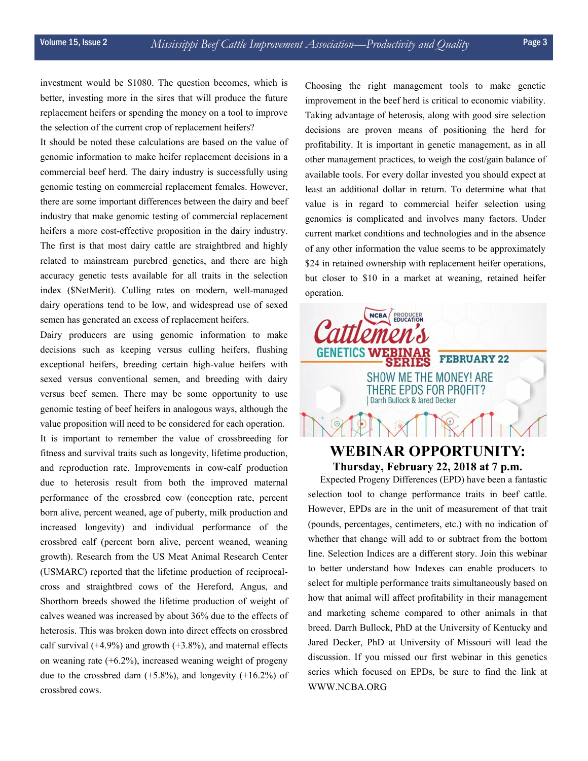investment would be \$1080. The question becomes, which is better, investing more in the sires that will produce the future replacement heifers or spending the money on a tool to improve the selection of the current crop of replacement heifers?

It should be noted these calculations are based on the value of genomic information to make heifer replacement decisions in a commercial beef herd. The dairy industry is successfully using genomic testing on commercial replacement females. However, there are some important differences between the dairy and beef industry that make genomic testing of commercial replacement heifers a more cost-effective proposition in the dairy industry. The first is that most dairy cattle are straightbred and highly related to mainstream purebred genetics, and there are high accuracy genetic tests available for all traits in the selection index (\$NetMerit). Culling rates on modern, well-managed dairy operations tend to be low, and widespread use of sexed semen has generated an excess of replacement heifers.

Dairy producers are using genomic information to make decisions such as keeping versus culling heifers, flushing exceptional heifers, breeding certain high-value heifers with sexed versus conventional semen, and breeding with dairy versus beef semen. There may be some opportunity to use genomic testing of beef heifers in analogous ways, although the value proposition will need to be considered for each operation. It is important to remember the value of crossbreeding for fitness and survival traits such as longevity, lifetime production, and reproduction rate. Improvements in cow-calf production due to heterosis result from both the improved maternal performance of the crossbred cow (conception rate, percent born alive, percent weaned, age of puberty, milk production and increased longevity) and individual performance of the crossbred calf (percent born alive, percent weaned, weaning growth). Research from the US Meat Animal Research Center (USMARC) reported that the lifetime production of reciprocalcross and straightbred cows of the Hereford, Angus, and Shorthorn breeds showed the lifetime production of weight of calves weaned was increased by about 36% due to the effects of heterosis. This was broken down into direct effects on crossbred calf survival  $(+4.9\%)$  and growth  $(+3.8\%)$ , and maternal effects on weaning rate (+6.2%), increased weaning weight of progeny due to the crossbred dam  $(+5.8\%)$ , and longevity  $(+16.2\%)$  of crossbred cows.

Choosing the right management tools to make genetic improvement in the beef herd is critical to economic viability. Taking advantage of heterosis, along with good sire selection decisions are proven means of positioning the herd for profitability. It is important in genetic management, as in all other management practices, to weigh the cost/gain balance of available tools. For every dollar invested you should expect at least an additional dollar in return. To determine what that value is in regard to commercial heifer selection using genomics is complicated and involves many factors. Under current market conditions and technologies and in the absence of any other information the value seems to be approximately \$24 in retained ownership with replacement heifer operations, but closer to \$10 in a market at weaning, retained heifer operation.



# **Thursday, February 22, 2018 at 7 p.m.**

 Expected Progeny Differences (EPD) have been a fantastic selection tool to change performance traits in beef cattle. However, EPDs are in the unit of measurement of that trait (pounds, percentages, centimeters, etc.) with no indication of whether that change will add to or subtract from the bottom line. Selection Indices are a different story. Join this webinar to better understand how Indexes can enable producers to select for multiple performance traits simultaneously based on how that animal will affect profitability in their management and marketing scheme compared to other animals in that breed. Darrh Bullock, PhD at the University of Kentucky and Jared Decker, PhD at University of Missouri will lead the discussion. If you missed our first webinar in this genetics series which focused on EPDs, be sure to find the link at WWW.NCBA.ORG